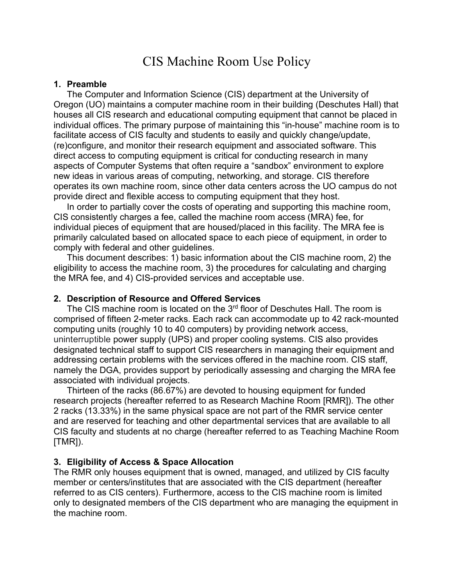# CIS Machine Room Use Policy

#### **1. Preamble**

The Computer and Information Science (CIS) department at the University of Oregon (UO) maintains a computer machine room in their building (Deschutes Hall) that houses all CIS research and educational computing equipment that cannot be placed in individual offices. The primary purpose of maintaining this "in-house" machine room is to facilitate access of CIS faculty and students to easily and quickly change/update, (re)configure, and monitor their research equipment and associated software. This direct access to computing equipment is critical for conducting research in many aspects of Computer Systems that often require a "sandbox" environment to explore new ideas in various areas of computing, networking, and storage. CIS therefore operates its own machine room, since other data centers across the UO campus do not provide direct and flexible access to computing equipment that they host.

In order to partially cover the costs of operating and supporting this machine room, CIS consistently charges a fee, called the machine room access (MRA) fee, for individual pieces of equipment that are housed/placed in this facility. The MRA fee is primarily calculated based on allocated space to each piece of equipment, in order to comply with federal and other guidelines.

This document describes: 1) basic information about the CIS machine room, 2) the eligibility to access the machine room, 3) the procedures for calculating and charging the MRA fee, and 4) CIS-provided services and acceptable use.

#### **2. Description of Resource and Offered Services**

The CIS machine room is located on the 3<sup>rd</sup> floor of Deschutes Hall. The room is comprised of fifteen 2-meter racks. Each rack can accommodate up to 42 rack-mounted computing units (roughly 10 to 40 computers) by providing network access, uninterruptible power supply (UPS) and proper cooling systems. CIS also provides designated technical staff to support CIS researchers in managing their equipment and addressing certain problems with the services offered in the machine room. CIS staff, namely the DGA, provides support by periodically assessing and charging the MRA fee associated with individual projects.

Thirteen of the racks (86.67%) are devoted to housing equipment for funded research projects (hereafter referred to as Research Machine Room [RMR]). The other 2 racks (13.33%) in the same physical space are not part of the RMR service center and are reserved for teaching and other departmental services that are available to all CIS faculty and students at no charge (hereafter referred to as Teaching Machine Room [TMR]).

#### **3. Eligibility of Access & Space Allocation**

The RMR only houses equipment that is owned, managed, and utilized by CIS faculty member or centers/institutes that are associated with the CIS department (hereafter referred to as CIS centers). Furthermore, access to the CIS machine room is limited only to designated members of the CIS department who are managing the equipment in the machine room.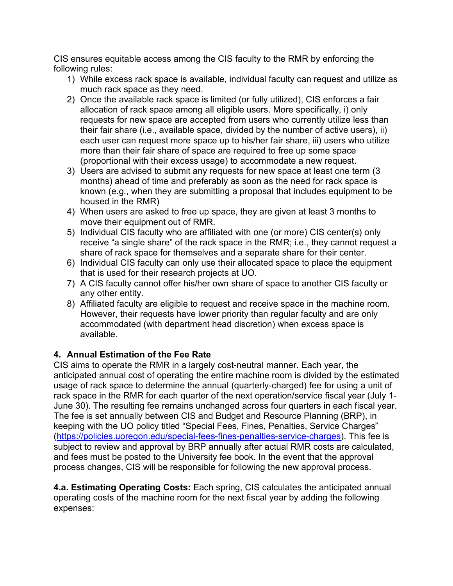CIS ensures equitable access among the CIS faculty to the RMR by enforcing the following rules:

- 1) While excess rack space is available, individual faculty can request and utilize as much rack space as they need.
- 2) Once the available rack space is limited (or fully utilized), CIS enforces a fair allocation of rack space among all eligible users. More specifically, i) only requests for new space are accepted from users who currently utilize less than their fair share (i.e., available space, divided by the number of active users), ii) each user can request more space up to his/her fair share, iii) users who utilize more than their fair share of space are required to free up some space (proportional with their excess usage) to accommodate a new request.
- 3) Users are advised to submit any requests for new space at least one term (3 months) ahead of time and preferably as soon as the need for rack space is known (e.g., when they are submitting a proposal that includes equipment to be housed in the RMR)
- 4) When users are asked to free up space, they are given at least 3 months to move their equipment out of RMR.
- 5) Individual CIS faculty who are affiliated with one (or more) CIS center(s) only receive "a single share" of the rack space in the RMR; i.e., they cannot request a share of rack space for themselves and a separate share for their center.
- 6) Individual CIS faculty can only use their allocated space to place the equipment that is used for their research projects at UO.
- 7) A CIS faculty cannot offer his/her own share of space to another CIS faculty or any other entity.
- 8) Affiliated faculty are eligible to request and receive space in the machine room. However, their requests have lower priority than regular faculty and are only accommodated (with department head discretion) when excess space is available.

## **4. Annual Estimation of the Fee Rate**

CIS aims to operate the RMR in a largely cost-neutral manner. Each year, the anticipated annual cost of operating the entire machine room is divided by the estimated usage of rack space to determine the annual (quarterly-charged) fee for using a unit of rack space in the RMR for each quarter of the next operation/service fiscal year (July 1- June 30). The resulting fee remains unchanged across four quarters in each fiscal year. The fee is set annually between CIS and Budget and Resource Planning (BRP), in keeping with the UO policy titled "Special Fees, Fines, Penalties, Service Charges" (https://policies.uoregon.edu/special-fees-fines-penalties-service-charges). This fee is subject to review and approval by BRP annually after actual RMR costs are calculated, and fees must be posted to the University fee book. In the event that the approval process changes, CIS will be responsible for following the new approval process.

**4.a. Estimating Operating Costs:** Each spring, CIS calculates the anticipated annual operating costs of the machine room for the next fiscal year by adding the following expenses: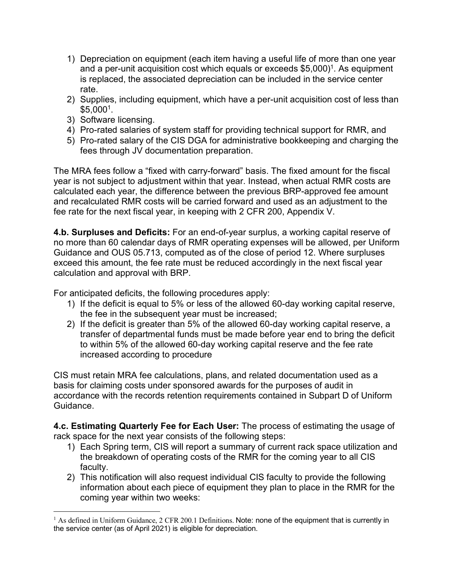- 1) Depreciation on equipment (each item having a useful life of more than one year and a per-unit acquisition cost which equals or exceeds \$5,000) 1. As equipment is replaced, the associated depreciation can be included in the service center rate.
- 2) Supplies, including equipment, which have a per-unit acquisition cost of less than  $$5,000<sup>1</sup>$ .
- 3) Software licensing.
- 4) Pro-rated salaries of system staff for providing technical support for RMR, and
- 5) Pro-rated salary of the CIS DGA for administrative bookkeeping and charging the fees through JV documentation preparation.

The MRA fees follow a "fixed with carry-forward" basis. The fixed amount for the fiscal year is not subject to adjustment within that year. Instead, when actual RMR costs are calculated each year, the difference between the previous BRP-approved fee amount and recalculated RMR costs will be carried forward and used as an adjustment to the fee rate for the next fiscal year, in keeping with 2 CFR 200, Appendix V.

**4.b. Surpluses and Deficits:** For an end-of-year surplus, a working capital reserve of no more than 60 calendar days of RMR operating expenses will be allowed, per Uniform Guidance and OUS 05.713, computed as of the close of period 12. Where surpluses exceed this amount, the fee rate must be reduced accordingly in the next fiscal year calculation and approval with BRP.

For anticipated deficits, the following procedures apply:

- 1) If the deficit is equal to 5% or less of the allowed 60-day working capital reserve, the fee in the subsequent year must be increased;
- 2) If the deficit is greater than 5% of the allowed 60-day working capital reserve, a transfer of departmental funds must be made before year end to bring the deficit to within 5% of the allowed 60-day working capital reserve and the fee rate increased according to procedure

CIS must retain MRA fee calculations, plans, and related documentation used as a basis for claiming costs under sponsored awards for the purposes of audit in accordance with the records retention requirements contained in Subpart D of Uniform Guidance.

**4.c. Estimating Quarterly Fee for Each User:** The process of estimating the usage of rack space for the next year consists of the following steps:

- 1) Each Spring term, CIS will report a summary of current rack space utilization and the breakdown of operating costs of the RMR for the coming year to all CIS faculty.
- 2) This notification will also request individual CIS faculty to provide the following information about each piece of equipment they plan to place in the RMR for the coming year within two weeks:

<sup>&</sup>lt;sup>1</sup> As defined in Uniform Guidance, 2 CFR 200.1 Definitions. Note: none of the equipment that is currently in the service center (as of April 2021) is eligible for depreciation.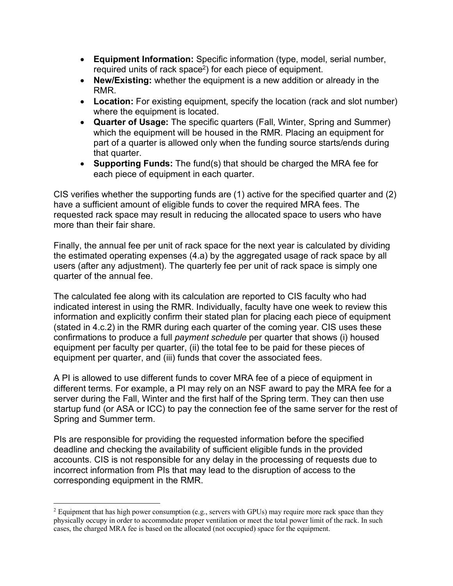- **Equipment Information:** Specific information (type, model, serial number, required units of rack space<sup>2</sup>) for each piece of equipment.
- **New/Existing:** whether the equipment is a new addition or already in the RMR.
- **Location:** For existing equipment, specify the location (rack and slot number) where the equipment is located.
- **Quarter of Usage:** The specific quarters (Fall, Winter, Spring and Summer) which the equipment will be housed in the RMR. Placing an equipment for part of a quarter is allowed only when the funding source starts/ends during that quarter.
- **Supporting Funds:** The fund(s) that should be charged the MRA fee for each piece of equipment in each quarter.

CIS verifies whether the supporting funds are (1) active for the specified quarter and (2) have a sufficient amount of eligible funds to cover the required MRA fees. The requested rack space may result in reducing the allocated space to users who have more than their fair share.

Finally, the annual fee per unit of rack space for the next year is calculated by dividing the estimated operating expenses (4.a) by the aggregated usage of rack space by all users (after any adjustment). The quarterly fee per unit of rack space is simply one quarter of the annual fee.

The calculated fee along with its calculation are reported to CIS faculty who had indicated interest in using the RMR. Individually, faculty have one week to review this information and explicitly confirm their stated plan for placing each piece of equipment (stated in 4.c.2) in the RMR during each quarter of the coming year. CIS uses these confirmations to produce a full *payment schedule* per quarter that shows (i) housed equipment per faculty per quarter, (ii) the total fee to be paid for these pieces of equipment per quarter, and (iii) funds that cover the associated fees.

A PI is allowed to use different funds to cover MRA fee of a piece of equipment in different terms. For example, a PI may rely on an NSF award to pay the MRA fee for a server during the Fall, Winter and the first half of the Spring term. They can then use startup fund (or ASA or ICC) to pay the connection fee of the same server for the rest of Spring and Summer term.

PIs are responsible for providing the requested information before the specified deadline and checking the availability of sufficient eligible funds in the provided accounts. CIS is not responsible for any delay in the processing of requests due to incorrect information from PIs that may lead to the disruption of access to the corresponding equipment in the RMR.

<sup>&</sup>lt;sup>2</sup> Equipment that has high power consumption (e.g., servers with GPUs) may require more rack space than they physically occupy in order to accommodate proper ventilation or meet the total power limit of the rack. In such cases, the charged MRA fee is based on the allocated (not occupied) space for the equipment.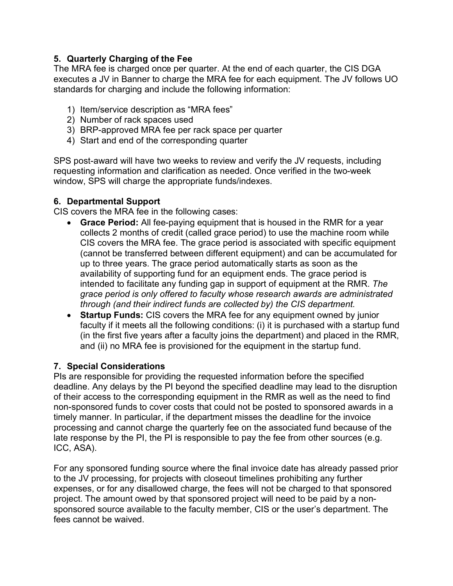## **5. Quarterly Charging of the Fee**

The MRA fee is charged once per quarter. At the end of each quarter, the CIS DGA executes a JV in Banner to charge the MRA fee for each equipment. The JV follows UO standards for charging and include the following information:

- 1) Item/service description as "MRA fees"
- 2) Number of rack spaces used
- 3) BRP-approved MRA fee per rack space per quarter
- 4) Start and end of the corresponding quarter

SPS post-award will have two weeks to review and verify the JV requests, including requesting information and clarification as needed. Once verified in the two-week window, SPS will charge the appropriate funds/indexes.

## **6. Departmental Support**

CIS covers the MRA fee in the following cases:

- **Grace Period:** All fee-paying equipment that is housed in the RMR for a year collects 2 months of credit (called grace period) to use the machine room while CIS covers the MRA fee. The grace period is associated with specific equipment (cannot be transferred between different equipment) and can be accumulated for up to three years. The grace period automatically starts as soon as the availability of supporting fund for an equipment ends. The grace period is intended to facilitate any funding gap in support of equipment at the RMR. *The grace period is only offered to faculty whose research awards are administrated through (and their indirect funds are collected by) the CIS department.*
- **Startup Funds:** CIS covers the MRA fee for any equipment owned by junior faculty if it meets all the following conditions: (i) it is purchased with a startup fund (in the first five years after a faculty joins the department) and placed in the RMR, and (ii) no MRA fee is provisioned for the equipment in the startup fund.

## **7. Special Considerations**

PIs are responsible for providing the requested information before the specified deadline. Any delays by the PI beyond the specified deadline may lead to the disruption of their access to the corresponding equipment in the RMR as well as the need to find non-sponsored funds to cover costs that could not be posted to sponsored awards in a timely manner. In particular, if the department misses the deadline for the invoice processing and cannot charge the quarterly fee on the associated fund because of the late response by the PI, the PI is responsible to pay the fee from other sources (e.g. ICC, ASA).

For any sponsored funding source where the final invoice date has already passed prior to the JV processing, for projects with closeout timelines prohibiting any further expenses, or for any disallowed charge, the fees will not be charged to that sponsored project. The amount owed by that sponsored project will need to be paid by a nonsponsored source available to the faculty member, CIS or the user's department. The fees cannot be waived.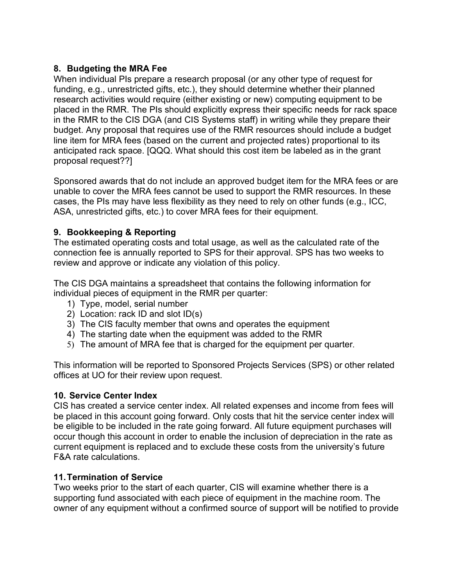## **8. Budgeting the MRA Fee**

When individual PIs prepare a research proposal (or any other type of request for funding, e.g., unrestricted gifts, etc.), they should determine whether their planned research activities would require (either existing or new) computing equipment to be placed in the RMR. The PIs should explicitly express their specific needs for rack space in the RMR to the CIS DGA (and CIS Systems staff) in writing while they prepare their budget. Any proposal that requires use of the RMR resources should include a budget line item for MRA fees (based on the current and projected rates) proportional to its anticipated rack space. [QQQ. What should this cost item be labeled as in the grant proposal request??]

Sponsored awards that do not include an approved budget item for the MRA fees or are unable to cover the MRA fees cannot be used to support the RMR resources. In these cases, the PIs may have less flexibility as they need to rely on other funds (e.g., ICC, ASA, unrestricted gifts, etc.) to cover MRA fees for their equipment.

## **9. Bookkeeping & Reporting**

The estimated operating costs and total usage, as well as the calculated rate of the connection fee is annually reported to SPS for their approval. SPS has two weeks to review and approve or indicate any violation of this policy.

The CIS DGA maintains a spreadsheet that contains the following information for individual pieces of equipment in the RMR per quarter:

- 1) Type, model, serial number
- 2) Location: rack ID and slot ID(s)
- 3) The CIS faculty member that owns and operates the equipment
- 4) The starting date when the equipment was added to the RMR
- 5) The amount of MRA fee that is charged for the equipment per quarter.

This information will be reported to Sponsored Projects Services (SPS) or other related offices at UO for their review upon request.

## **10. Service Center Index**

CIS has created a service center index. All related expenses and income from fees will be placed in this account going forward. Only costs that hit the service center index will be eligible to be included in the rate going forward. All future equipment purchases will occur though this account in order to enable the inclusion of depreciation in the rate as current equipment is replaced and to exclude these costs from the university's future F&A rate calculations.

## **11.Termination of Service**

Two weeks prior to the start of each quarter, CIS will examine whether there is a supporting fund associated with each piece of equipment in the machine room. The owner of any equipment without a confirmed source of support will be notified to provide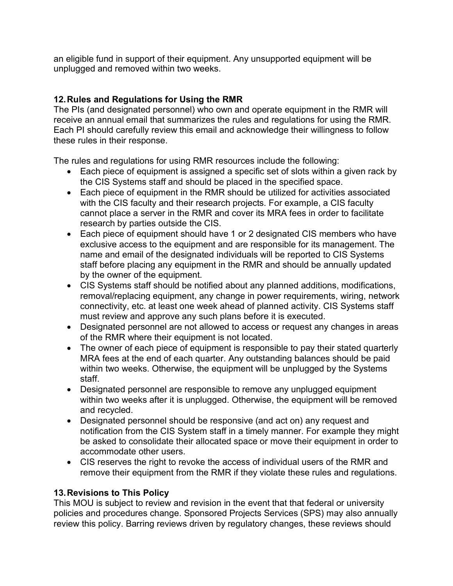an eligible fund in support of their equipment. Any unsupported equipment will be unplugged and removed within two weeks.

## **12.Rules and Regulations for Using the RMR**

The PIs (and designated personnel) who own and operate equipment in the RMR will receive an annual email that summarizes the rules and regulations for using the RMR. Each PI should carefully review this email and acknowledge their willingness to follow these rules in their response.

The rules and regulations for using RMR resources include the following:

- Each piece of equipment is assigned a specific set of slots within a given rack by the CIS Systems staff and should be placed in the specified space.
- Each piece of equipment in the RMR should be utilized for activities associated with the CIS faculty and their research projects. For example, a CIS faculty cannot place a server in the RMR and cover its MRA fees in order to facilitate research by parties outside the CIS.
- Each piece of equipment should have 1 or 2 designated CIS members who have exclusive access to the equipment and are responsible for its management. The name and email of the designated individuals will be reported to CIS Systems staff before placing any equipment in the RMR and should be annually updated by the owner of the equipment.
- CIS Systems staff should be notified about any planned additions, modifications, removal/replacing equipment, any change in power requirements, wiring, network connectivity, etc. at least one week ahead of planned activity. CIS Systems staff must review and approve any such plans before it is executed.
- Designated personnel are not allowed to access or request any changes in areas of the RMR where their equipment is not located.
- The owner of each piece of equipment is responsible to pay their stated quarterly MRA fees at the end of each quarter. Any outstanding balances should be paid within two weeks. Otherwise, the equipment will be unplugged by the Systems staff.
- Designated personnel are responsible to remove any unplugged equipment within two weeks after it is unplugged. Otherwise, the equipment will be removed and recycled.
- Designated personnel should be responsive (and act on) any request and notification from the CIS System staff in a timely manner. For example they might be asked to consolidate their allocated space or move their equipment in order to accommodate other users.
- CIS reserves the right to revoke the access of individual users of the RMR and remove their equipment from the RMR if they violate these rules and regulations.

## **13.Revisions to This Policy**

This MOU is subject to review and revision in the event that that federal or university policies and procedures change. Sponsored Projects Services (SPS) may also annually review this policy. Barring reviews driven by regulatory changes, these reviews should